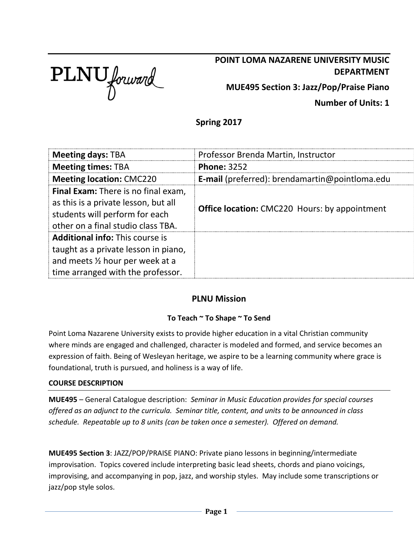

# **POINT LOMA NAZARENE UNIVERSITY MUSIC DEPARTMENT**

**MUE495 Section 3: Jazz/Pop/Praise Piano**

**Number of Units: 1**

**Spring 2017**

| <b>Meeting days: TBA</b>                                                                                                                                   | Professor Brenda Martin, Instructor                   |  |
|------------------------------------------------------------------------------------------------------------------------------------------------------------|-------------------------------------------------------|--|
| <b>Meeting times: TBA</b>                                                                                                                                  | <b>Phone: 3252</b>                                    |  |
| <b>Meeting location: CMC220</b>                                                                                                                            | <b>E-mail</b> (preferred): brendamartin@pointloma.edu |  |
| <b>Final Exam:</b> There is no final exam,<br>as this is a private lesson, but all<br>students will perform for each<br>other on a final studio class TBA. | <b>Office location:</b> CMC220 Hours: by appointment  |  |
| <b>Additional info: This course is</b><br>taught as a private lesson in piano,<br>and meets 1/2 hour per week at a<br>time arranged with the professor.    |                                                       |  |

## **PLNU Mission**

## **To Teach ~ To Shape ~ To Send**

Point Loma Nazarene University exists to provide higher education in a vital Christian community where minds are engaged and challenged, character is modeled and formed, and service becomes an expression of faith. Being of Wesleyan heritage, we aspire to be a learning community where grace is foundational, truth is pursued, and holiness is a way of life.

#### **COURSE DESCRIPTION**

**MUE495** – General Catalogue description: *Seminar in Music Education provides for special courses offered as an adjunct to the curricula. Seminar title, content, and units to be announced in class schedule. Repeatable up to 8 units (can be taken once a semester). Offered on demand.*

**MUE495 Section 3**: JAZZ/POP/PRAISE PIANO: Private piano lessons in beginning/intermediate improvisation. Topics covered include interpreting basic lead sheets, chords and piano voicings, improvising, and accompanying in pop, jazz, and worship styles. May include some transcriptions or jazz/pop style solos.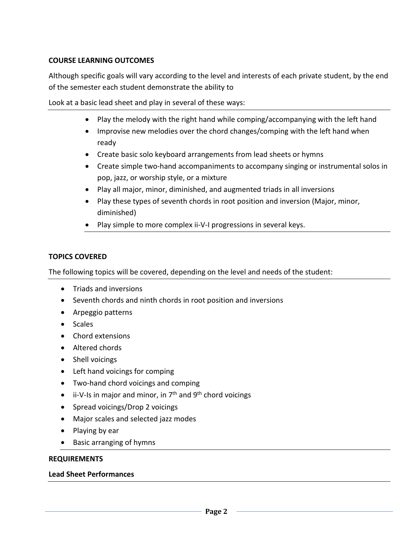#### **COURSE LEARNING OUTCOMES**

Although specific goals will vary according to the level and interests of each private student, by the end of the semester each student demonstrate the ability to

Look at a basic lead sheet and play in several of these ways:

- Play the melody with the right hand while comping/accompanying with the left hand
- Improvise new melodies over the chord changes/comping with the left hand when ready
- Create basic solo keyboard arrangements from lead sheets or hymns
- Create simple two-hand accompaniments to accompany singing or instrumental solos in pop, jazz, or worship style, or a mixture
- Play all major, minor, diminished, and augmented triads in all inversions
- Play these types of seventh chords in root position and inversion (Major, minor, diminished)
- Play simple to more complex ii-V-I progressions in several keys.

#### **TOPICS COVERED**

The following topics will be covered, depending on the level and needs of the student:

- Triads and inversions
- Seventh chords and ninth chords in root position and inversions
- Arpeggio patterns
- Scales
- Chord extensions
- Altered chords
- Shell voicings
- Left hand voicings for comping
- Two-hand chord voicings and comping
- $\bullet$  ii-V-Is in major and minor, in  $7^{\text{th}}$  and  $9^{\text{th}}$  chord voicings
- Spread voicings/Drop 2 voicings
- Major scales and selected jazz modes
- Playing by ear
- Basic arranging of hymns

#### **REQUIREMENTS**

#### **Lead Sheet Performances**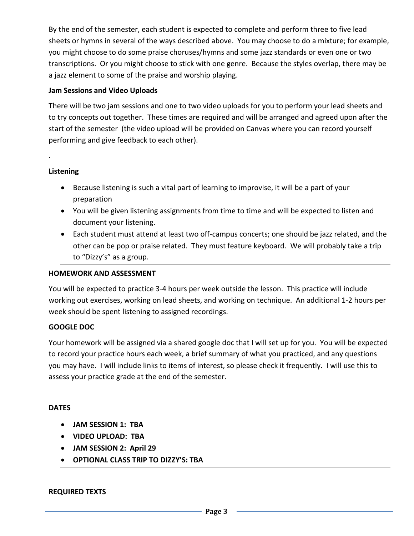By the end of the semester, each student is expected to complete and perform three to five lead sheets or hymns in several of the ways described above. You may choose to do a mixture; for example, you might choose to do some praise choruses/hymns and some jazz standards or even one or two transcriptions. Or you might choose to stick with one genre. Because the styles overlap, there may be a jazz element to some of the praise and worship playing.

### **Jam Sessions and Video Uploads**

There will be two jam sessions and one to two video uploads for you to perform your lead sheets and to try concepts out together. These times are required and will be arranged and agreed upon after the start of the semester (the video upload will be provided on Canvas where you can record yourself performing and give feedback to each other).

#### **Listening**

.

- Because listening is such a vital part of learning to improvise, it will be a part of your preparation
- You will be given listening assignments from time to time and will be expected to listen and document your listening.
- Each student must attend at least two off-campus concerts; one should be jazz related, and the other can be pop or praise related. They must feature keyboard. We will probably take a trip to "Dizzy's" as a group.

#### **HOMEWORK AND ASSESSMENT**

You will be expected to practice 3-4 hours per week outside the lesson. This practice will include working out exercises, working on lead sheets, and working on technique. An additional 1-2 hours per week should be spent listening to assigned recordings.

#### **GOOGLE DOC**

Your homework will be assigned via a shared google doc that I will set up for you. You will be expected to record your practice hours each week, a brief summary of what you practiced, and any questions you may have. I will include links to items of interest, so please check it frequently. I will use this to assess your practice grade at the end of the semester.

#### **DATES**

- **JAM SESSION 1: TBA**
- **VIDEO UPLOAD: TBA**
- **JAM SESSION 2: April 29**
- **OPTIONAL CLASS TRIP TO DIZZY'S: TBA**

#### **REQUIRED TEXTS**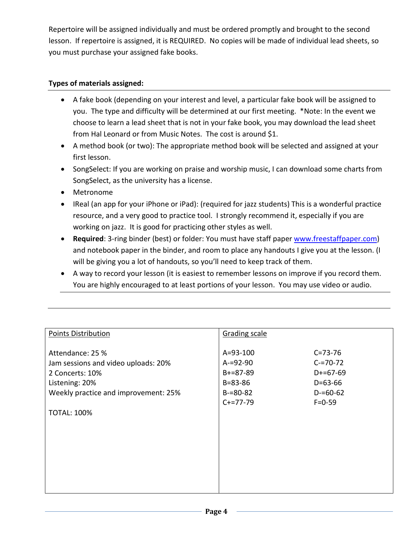Repertoire will be assigned individually and must be ordered promptly and brought to the second lesson. If repertoire is assigned, it is REQUIRED. No copies will be made of individual lead sheets, so you must purchase your assigned fake books.

## **Types of materials assigned:**

- A fake book (depending on your interest and level, a particular fake book will be assigned to you. The type and difficulty will be determined at our first meeting. \*Note: In the event we choose to learn a lead sheet that is not in your fake book, you may download the lead sheet from Hal Leonard or from Music Notes. The cost is around \$1.
- A method book (or two): The appropriate method book will be selected and assigned at your first lesson.
- SongSelect: If you are working on praise and worship music, I can download some charts from SongSelect, as the university has a license.
- Metronome
- IReal (an app for your iPhone or iPad): (required for jazz students) This is a wonderful practice resource, and a very good to practice tool. I strongly recommend it, especially if you are working on jazz. It is good for practicing other styles as well.
- **Required**: 3-ring binder (best) or folder: You must have staff paper [www.freestaffpaper.com\)](http://www.freestaffpaper.com/) and notebook paper in the binder, and room to place any handouts I give you at the lesson. (I will be giving you a lot of handouts, so you'll need to keep track of them.
- A way to record your lesson (it is easiest to remember lessons on improve if you record them. You are highly encouraged to at least portions of your lesson. You may use video or audio.

| <b>Points Distribution</b>                                                                                                           | <b>Grading scale</b>                                                            |                                                                            |
|--------------------------------------------------------------------------------------------------------------------------------------|---------------------------------------------------------------------------------|----------------------------------------------------------------------------|
| Attendance: 25 %<br>Jam sessions and video uploads: 20%<br>2 Concerts: 10%<br>Listening: 20%<br>Weekly practice and improvement: 25% | $A = 93 - 100$<br>$A = 92 - 90$<br>$B+=87-89$<br>$B = 83 - 86$<br>$B = 80 - 82$ | $C = 73 - 76$<br>$C = 70 - 72$<br>$D+=67-69$<br>$D=63-66$<br>$D = 60 - 62$ |
|                                                                                                                                      | $C+=77-79$                                                                      | $F = 0 - 59$                                                               |
| <b>TOTAL: 100%</b>                                                                                                                   |                                                                                 |                                                                            |
|                                                                                                                                      |                                                                                 |                                                                            |
|                                                                                                                                      |                                                                                 |                                                                            |
|                                                                                                                                      |                                                                                 |                                                                            |
|                                                                                                                                      |                                                                                 |                                                                            |